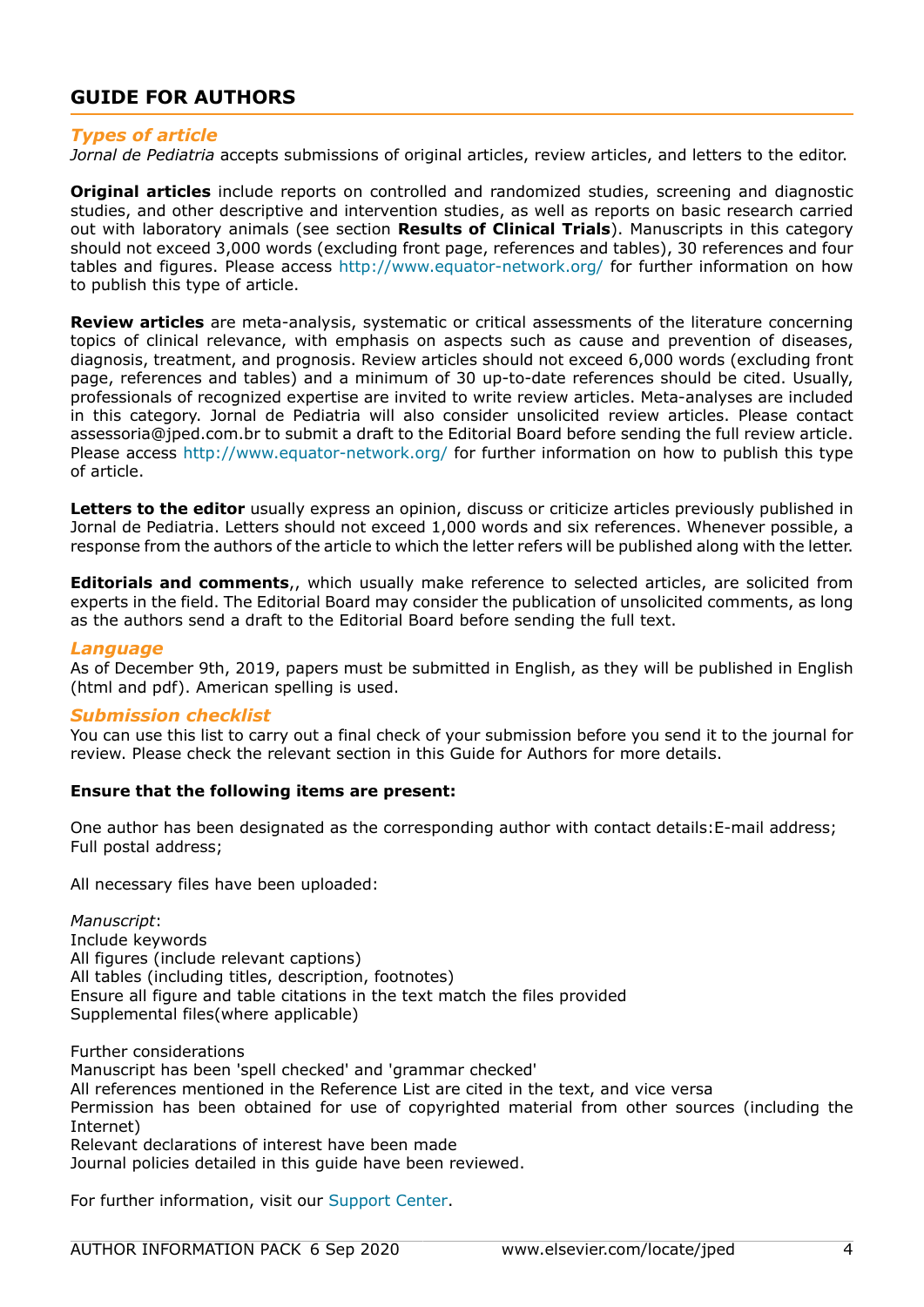# **GUIDE FOR AUTHORS**

## *Types of article*

*Jornal de Pediatria* accepts submissions of original articles, review articles, and letters to the editor.

**Original articles** include reports on controlled and randomized studies, screening and diagnostic studies, and other descriptive and intervention studies, as well as reports on basic research carried out with laboratory animals (see section **Results of Clinical Trials**). Manuscripts in this category should not exceed 3,000 words (excluding front page, references and tables), 30 references and four tables and figures. Please access http://www.equator-network.org/ for further information on how to publish this type of article.

**Review articles** are meta-analysis, systematic or critical assessments of the literature concerning topics of clinical relevance, with emphasis on aspects such as cause and prevention of diseases, diagnosis, treatment, and prognosis. Review articles should not exceed 6,000 words (excluding front page, references and tables) and a minimum of 30 up-to-date references should be cited. Usually, professionals of recognized expertise are invited to write review articles. Meta-analyses are included in this category. Jornal de Pediatria will also consider unsolicited review articles. Please contact assessoria@jped.com.br to submit a draft to the Editorial Board before sending the full review article. Please access http://www.equator-network.org/ for further information on how to publish this type of article.

**Letters to the editor** usually express an opinion, discuss or criticize articles previously published in Jornal de Pediatria. Letters should not exceed 1,000 words and six references. Whenever possible, a response from the authors of the article to which the letter refers will be published along with the letter.

**Editorials and comments**,, which usually make reference to selected articles, are solicited from experts in the field. The Editorial Board may consider the publication of unsolicited comments, as long as the authors send a draft to the Editorial Board before sending the full text.

## *Language*

As of December 9th, 2019, papers must be submitted in English, as they will be published in English (html and pdf). American spelling is used.

## *Submission checklist*

You can use this list to carry out a final check of your submission before you send it to the journal for review. Please check the relevant section in this Guide for Authors for more details.

## **Ensure that the following items are present:**

One author has been designated as the corresponding author with contact details:E-mail address; Full postal address;

All necessary files have been uploaded:

*Manuscript*: Include keywords All figures (include relevant captions) All tables (including titles, description, footnotes) Ensure all figure and table citations in the text match the files provided Supplemental files(where applicable)

Further considerations Manuscript has been 'spell checked' and 'grammar checked' All references mentioned in the Reference List are cited in the text, and vice versa Permission has been obtained for use of copyrighted material from other sources (including the Internet) Relevant declarations of interest have been made Journal policies detailed in this guide have been reviewed.

For further information, visit our [Support Center.](https://service.elsevier.com/app/home/supporthub/publishing/)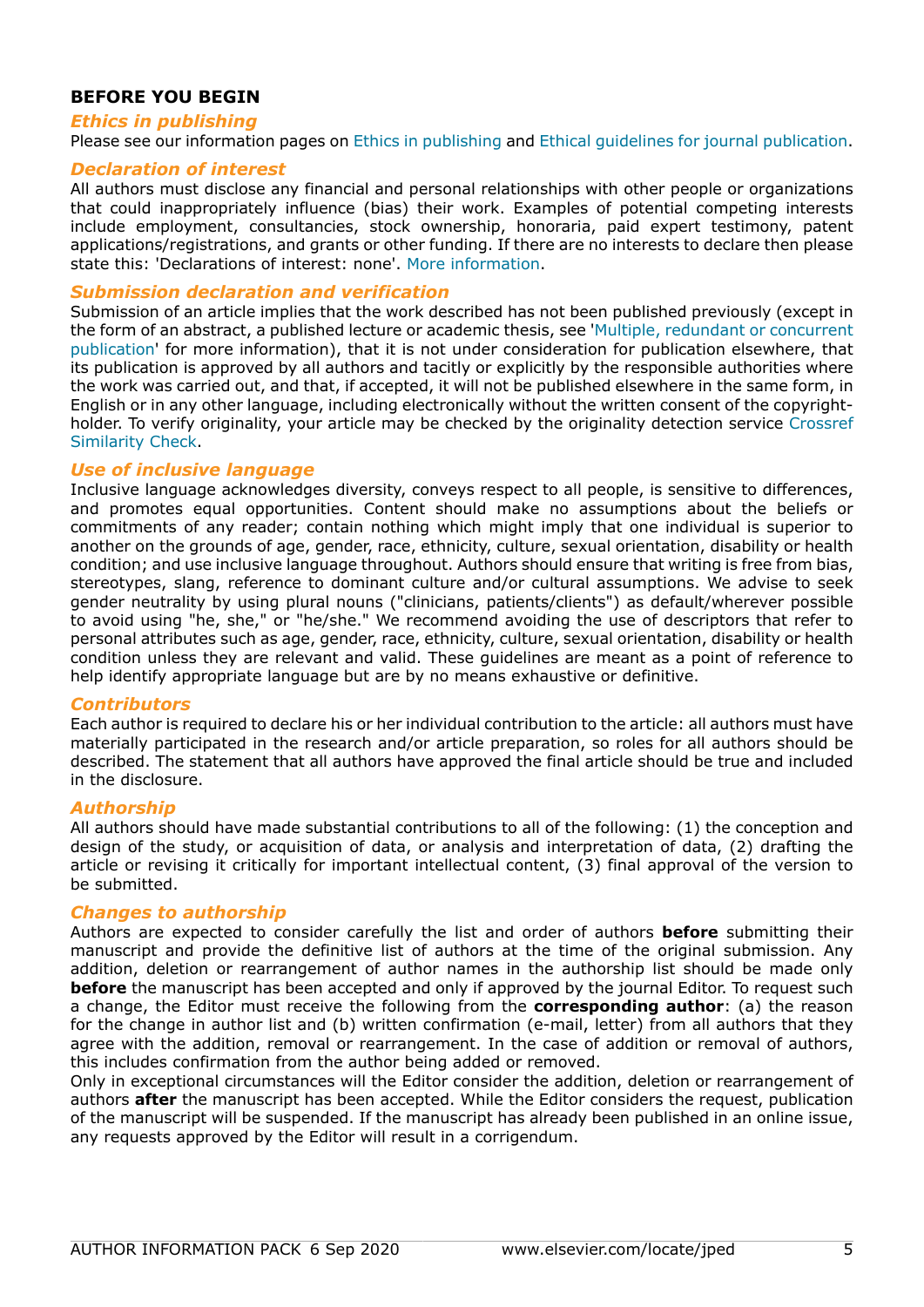# **BEFORE YOU BEGIN**

## *Ethics in publishing*

Please see our information pages on [Ethics in publishing](https://www.elsevier.com/about/policies/publishing-ethics) and [Ethical guidelines for journal publication](https://www.elsevier.com/authors/journal-authors/policies-and-ethics).

## *Declaration of interest*

All authors must disclose any financial and personal relationships with other people or organizations that could inappropriately influence (bias) their work. Examples of potential competing interests include employment, consultancies, stock ownership, honoraria, paid expert testimony, patent applications/registrations, and grants or other funding. If there are no interests to declare then please state this: 'Declarations of interest: none'. [More information](https://service.elsevier.com/app/answers/detail/a_id/286/supporthub/publishing).

## *Submission declaration and verification*

Submission of an article implies that the work described has not been published previously (except in the form of an abstract, a published lecture or academic thesis, see '[Multiple, redundant or concurrent](https://www.elsevier.com/authors/journal-authors/policies-and-ethics) [publication](https://www.elsevier.com/authors/journal-authors/policies-and-ethics)' for more information), that it is not under consideration for publication elsewhere, that its publication is approved by all authors and tacitly or explicitly by the responsible authorities where the work was carried out, and that, if accepted, it will not be published elsewhere in the same form, in English or in any other language, including electronically without the written consent of the copyrightholder. To verify originality, your article may be checked by the originality detection service [Crossref](https://www.elsevier.com/editors/perk/plagiarism-complaints/plagiarism-detection) [Similarity Check.](https://www.elsevier.com/editors/perk/plagiarism-complaints/plagiarism-detection)

## *Use of inclusive language*

Inclusive language acknowledges diversity, conveys respect to all people, is sensitive to differences, and promotes equal opportunities. Content should make no assumptions about the beliefs or commitments of any reader; contain nothing which might imply that one individual is superior to another on the grounds of age, gender, race, ethnicity, culture, sexual orientation, disability or health condition; and use inclusive language throughout. Authors should ensure that writing is free from bias, stereotypes, slang, reference to dominant culture and/or cultural assumptions. We advise to seek gender neutrality by using plural nouns ("clinicians, patients/clients") as default/wherever possible to avoid using "he, she," or "he/she." We recommend avoiding the use of descriptors that refer to personal attributes such as age, gender, race, ethnicity, culture, sexual orientation, disability or health condition unless they are relevant and valid. These guidelines are meant as a point of reference to help identify appropriate language but are by no means exhaustive or definitive.

## *Contributors*

Each author is required to declare his or her individual contribution to the article: all authors must have materially participated in the research and/or article preparation, so roles for all authors should be described. The statement that all authors have approved the final article should be true and included in the disclosure.

## *Authorship*

All authors should have made substantial contributions to all of the following: (1) the conception and design of the study, or acquisition of data, or analysis and interpretation of data, (2) drafting the article or revising it critically for important intellectual content, (3) final approval of the version to be submitted.

## *Changes to authorship*

Authors are expected to consider carefully the list and order of authors **before** submitting their manuscript and provide the definitive list of authors at the time of the original submission. Any addition, deletion or rearrangement of author names in the authorship list should be made only **before** the manuscript has been accepted and only if approved by the journal Editor. To request such a change, the Editor must receive the following from the **corresponding author**: (a) the reason for the change in author list and (b) written confirmation (e-mail, letter) from all authors that they agree with the addition, removal or rearrangement. In the case of addition or removal of authors, this includes confirmation from the author being added or removed.

Only in exceptional circumstances will the Editor consider the addition, deletion or rearrangement of authors **after** the manuscript has been accepted. While the Editor considers the request, publication of the manuscript will be suspended. If the manuscript has already been published in an online issue, any requests approved by the Editor will result in a corrigendum.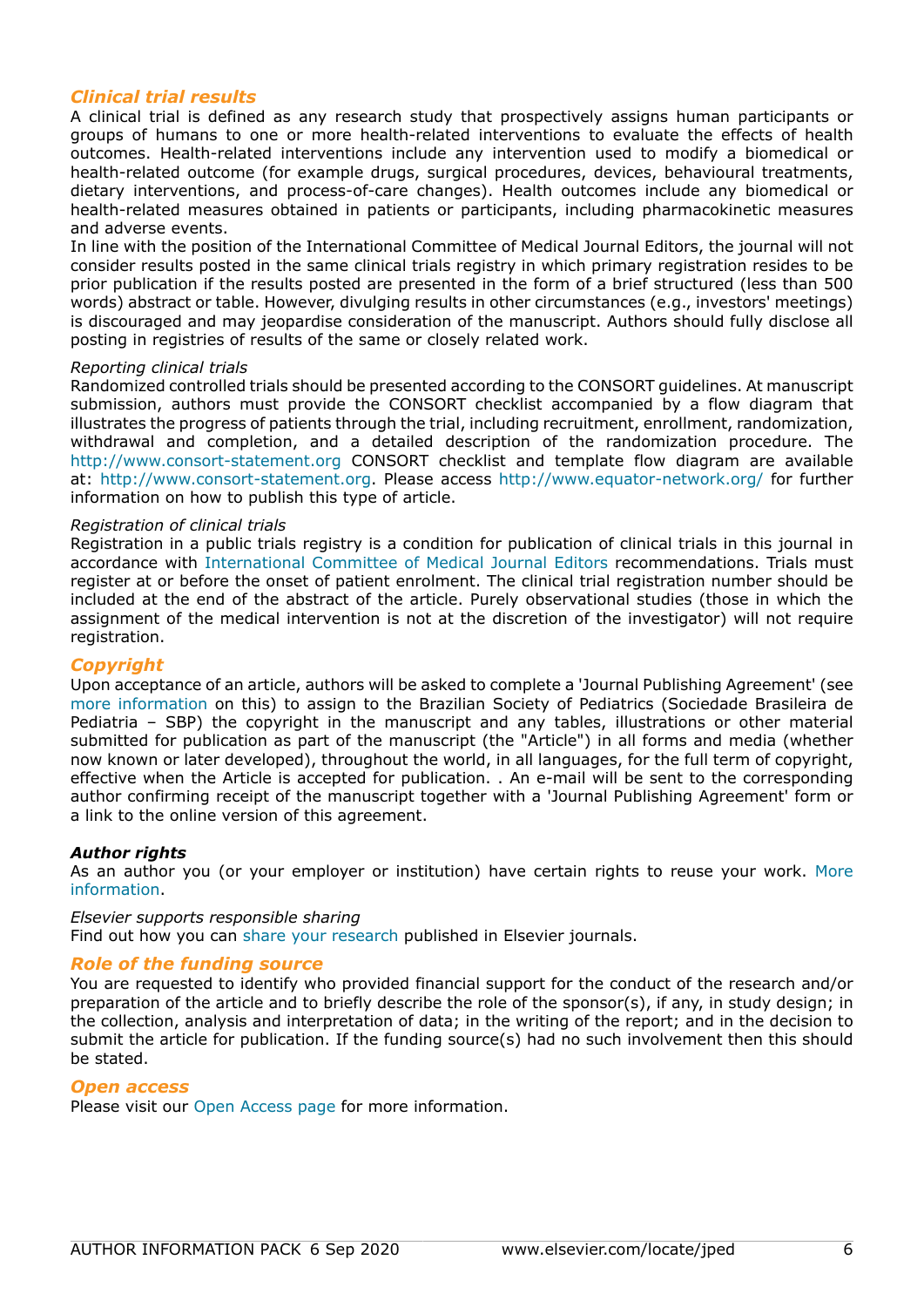## *Clinical trial results*

A clinical trial is defined as any research study that prospectively assigns human participants or groups of humans to one or more health-related interventions to evaluate the effects of health outcomes. Health-related interventions include any intervention used to modify a biomedical or health-related outcome (for example drugs, surgical procedures, devices, behavioural treatments, dietary interventions, and process-of-care changes). Health outcomes include any biomedical or health-related measures obtained in patients or participants, including pharmacokinetic measures and adverse events.

In line with the position of the International Committee of Medical Journal Editors, the journal will not consider results posted in the same clinical trials registry in which primary registration resides to be prior publication if the results posted are presented in the form of a brief structured (less than 500 words) abstract or table. However, divulging results in other circumstances (e.g., investors' meetings) is discouraged and may jeopardise consideration of the manuscript. Authors should fully disclose all posting in registries of results of the same or closely related work.

### *Reporting clinical trials*

Randomized controlled trials should be presented according to the CONSORT guidelines. At manuscript submission, authors must provide the CONSORT checklist accompanied by a flow diagram that illustrates the progress of patients through the trial, including recruitment, enrollment, randomization, withdrawal and completion, and a detailed description of the randomization procedure. The http://www.consort-statement.org CONSORT checklist and template flow diagram are available at: http://www.consort-statement.org. Please access http://www.equator-network.org/ for further information on how to publish this type of article.

#### *Registration of clinical trials*

Registration in a public trials registry is a condition for publication of clinical trials in this journal in accordance with [International Committee of Medical Journal Editors](http://www.icmje.org) recommendations. Trials must register at or before the onset of patient enrolment. The clinical trial registration number should be included at the end of the abstract of the article. Purely observational studies (those in which the assignment of the medical intervention is not at the discretion of the investigator) will not require registration.

## *Copyright*

Upon acceptance of an article, authors will be asked to complete a 'Journal Publishing Agreement' (see [more information](https://www.elsevier.com/copyright) on this) to assign to the Brazilian Society of Pediatrics (Sociedade Brasileira de Pediatria – SBP) the copyright in the manuscript and any tables, illustrations or other material submitted for publication as part of the manuscript (the "Article") in all forms and media (whether now known or later developed), throughout the world, in all languages, for the full term of copyright, effective when the Article is accepted for publication. . An e-mail will be sent to the corresponding author confirming receipt of the manuscript together with a 'Journal Publishing Agreement' form or a link to the online version of this agreement.

## *Author rights*

As an author you (or your employer or institution) have certain rights to reuse your work. [More](https://www.elsevier.com/copyright) [information](https://www.elsevier.com/copyright).

#### *Elsevier supports responsible sharing*

Find out how you can [share your research](https://www.elsevier.com/authors/journal-authors/submit-your-paper/sharing-and-promoting-your-article) published in Elsevier journals.

## *Role of the funding source*

You are requested to identify who provided financial support for the conduct of the research and/or preparation of the article and to briefly describe the role of the sponsor(s), if any, in study design; in the collection, analysis and interpretation of data; in the writing of the report; and in the decision to submit the article for publication. If the funding source(s) had no such involvement then this should be stated.

## *Open access*

Please visit our [Open Access page](https://www.elsevier.com/journals/jornal-de-pediatria/0021-7557/open-access-journal) for more information.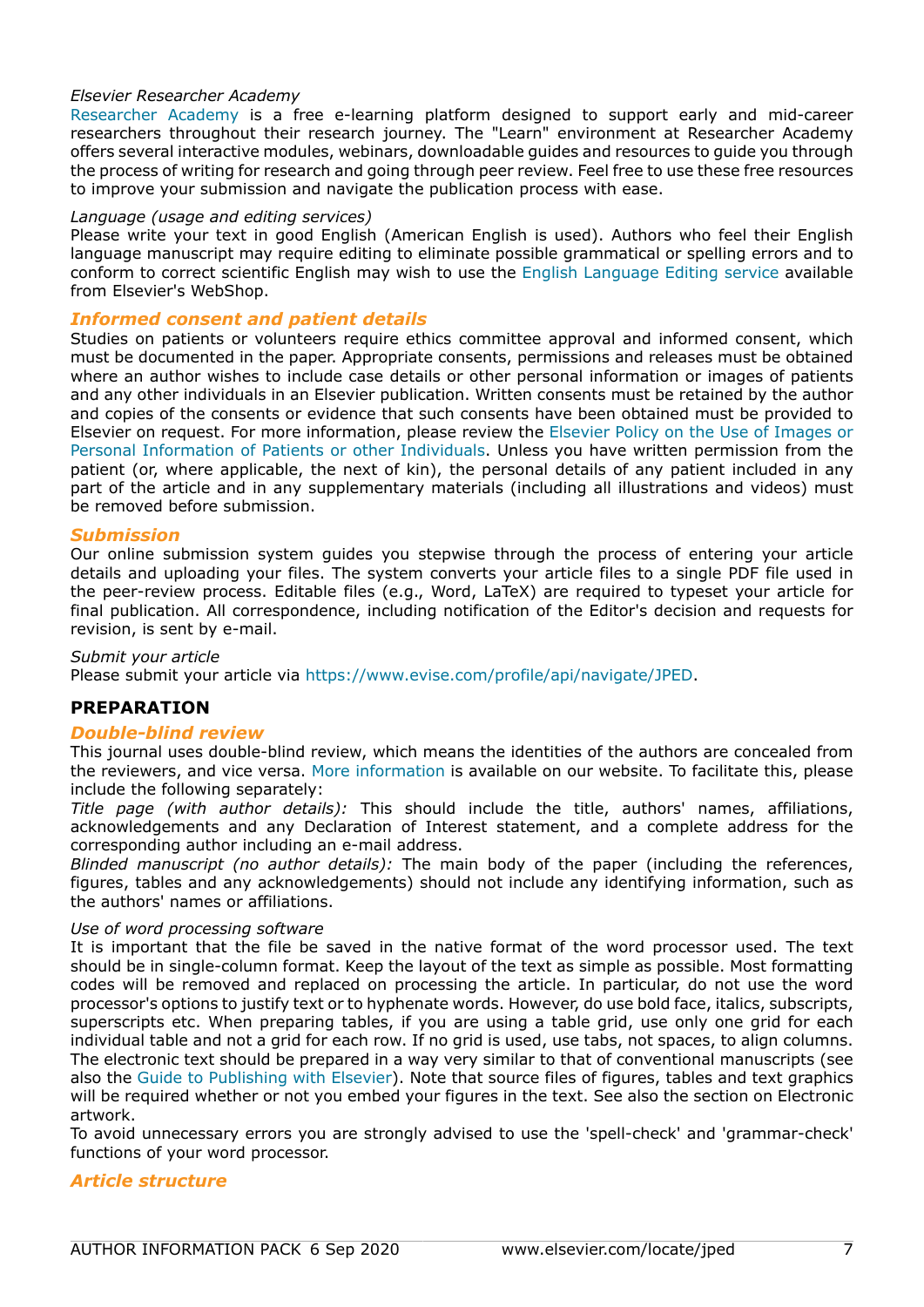## *Elsevier Researcher Academy*

[Researcher Academy](https://researcheracademy.elsevier.com/) is a free e-learning platform designed to support early and mid-career researchers throughout their research journey. The "Learn" environment at Researcher Academy offers several interactive modules, webinars, downloadable guides and resources to guide you through the process of writing for research and going through peer review. Feel free to use these free resources to improve your submission and navigate the publication process with ease.

### *Language (usage and editing services)*

Please write your text in good English (American English is used). Authors who feel their English language manuscript may require editing to eliminate possible grammatical or spelling errors and to conform to correct scientific English may wish to use the [English Language Editing service](http://webshop.elsevier.com/languageediting/) available from Elsevier's WebShop.

## *Informed consent and patient details*

Studies on patients or volunteers require ethics committee approval and informed consent, which must be documented in the paper. Appropriate consents, permissions and releases must be obtained where an author wishes to include case details or other personal information or images of patients and any other individuals in an Elsevier publication. Written consents must be retained by the author and copies of the consents or evidence that such consents have been obtained must be provided to Elsevier on request. For more information, please review the [Elsevier Policy on the Use of Images or](https://www.elsevier.com/patient-consent-policy) [Personal Information of Patients or other Individuals.](https://www.elsevier.com/patient-consent-policy) Unless you have written permission from the patient (or, where applicable, the next of kin), the personal details of any patient included in any part of the article and in any supplementary materials (including all illustrations and videos) must be removed before submission.

## *Submission*

Our online submission system guides you stepwise through the process of entering your article details and uploading your files. The system converts your article files to a single PDF file used in the peer-review process. Editable files (e.g., Word, LaTeX) are required to typeset your article for final publication. All correspondence, including notification of the Editor's decision and requests for revision, is sent by e-mail.

### *Submit your article*

Please submit your article via https://www.evise.com/profile/api/navigate/JPED.

## **PREPARATION**

## *Double-blind review*

This journal uses double-blind review, which means the identities of the authors are concealed from the reviewers, and vice versa. [More information](https://www.elsevier.com/reviewers/what-is-peer-review) is available on our website. To facilitate this, please include the following separately:

*Title page (with author details):* This should include the title, authors' names, affiliations, acknowledgements and any Declaration of Interest statement, and a complete address for the corresponding author including an e-mail address.

*Blinded manuscript (no author details):* The main body of the paper (including the references, figures, tables and any acknowledgements) should not include any identifying information, such as the authors' names or affiliations.

#### *Use of word processing software*

It is important that the file be saved in the native format of the word processor used. The text should be in single-column format. Keep the layout of the text as simple as possible. Most formatting codes will be removed and replaced on processing the article. In particular, do not use the word processor's options to justify text or to hyphenate words. However, do use bold face, italics, subscripts, superscripts etc. When preparing tables, if you are using a table grid, use only one grid for each individual table and not a grid for each row. If no grid is used, use tabs, not spaces, to align columns. The electronic text should be prepared in a way very similar to that of conventional manuscripts (see also the [Guide to Publishing with Elsevier\)](https://www.elsevier.com/authors/journal-authors/submit-your-paper). Note that source files of figures, tables and text graphics will be required whether or not you embed your figures in the text. See also the section on Electronic artwork.

To avoid unnecessary errors you are strongly advised to use the 'spell-check' and 'grammar-check' functions of your word processor.

## *Article structure*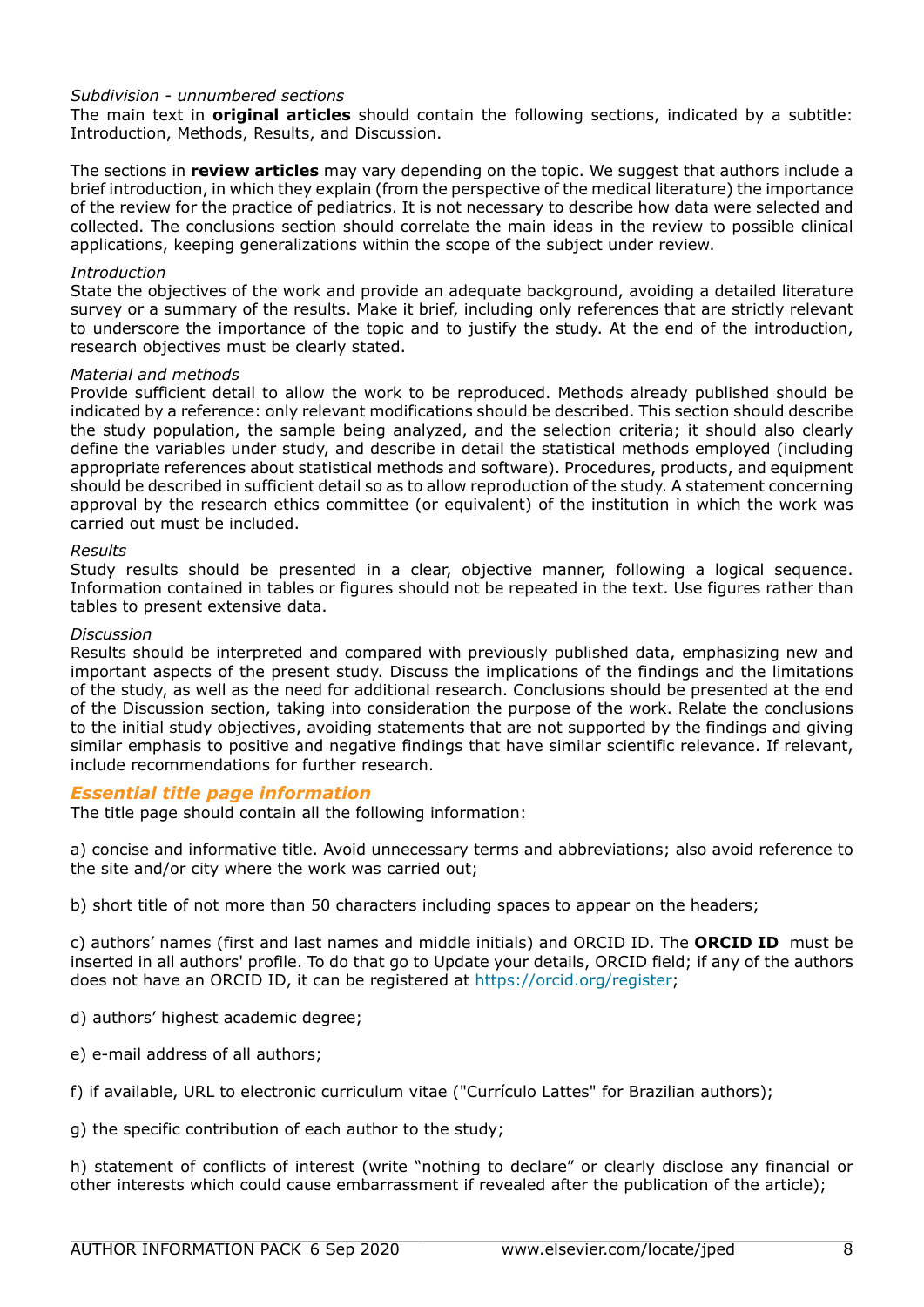## *Subdivision - unnumbered sections*

The main text in **original articles** should contain the following sections, indicated by a subtitle: Introduction, Methods, Results, and Discussion.

The sections in **review articles** may vary depending on the topic. We suggest that authors include a brief introduction, in which they explain (from the perspective of the medical literature) the importance of the review for the practice of pediatrics. It is not necessary to describe how data were selected and collected. The conclusions section should correlate the main ideas in the review to possible clinical applications, keeping generalizations within the scope of the subject under review.

### *Introduction*

State the objectives of the work and provide an adequate background, avoiding a detailed literature survey or a summary of the results. Make it brief, including only references that are strictly relevant to underscore the importance of the topic and to justify the study. At the end of the introduction, research objectives must be clearly stated.

#### *Material and methods*

Provide sufficient detail to allow the work to be reproduced. Methods already published should be indicated by a reference: only relevant modifications should be described. This section should describe the study population, the sample being analyzed, and the selection criteria; it should also clearly define the variables under study, and describe in detail the statistical methods employed (including appropriate references about statistical methods and software). Procedures, products, and equipment should be described in sufficient detail so as to allow reproduction of the study. A statement concerning approval by the research ethics committee (or equivalent) of the institution in which the work was carried out must be included.

#### *Results*

Study results should be presented in a clear, objective manner, following a logical sequence. Information contained in tables or figures should not be repeated in the text. Use figures rather than tables to present extensive data.

#### *Discussion*

Results should be interpreted and compared with previously published data, emphasizing new and important aspects of the present study. Discuss the implications of the findings and the limitations of the study, as well as the need for additional research. Conclusions should be presented at the end of the Discussion section, taking into consideration the purpose of the work. Relate the conclusions to the initial study objectives, avoiding statements that are not supported by the findings and giving similar emphasis to positive and negative findings that have similar scientific relevance. If relevant, include recommendations for further research.

## *Essential title page information*

The title page should contain all the following information:

a) concise and informative title. Avoid unnecessary terms and abbreviations; also avoid reference to the site and/or city where the work was carried out;

b) short title of not more than 50 characters including spaces to appear on the headers;

c) authors' names (first and last names and middle initials) and ORCID ID. The **ORCID ID** must be inserted in all authors' profile. To do that go to Update your details, ORCID field; if any of the authors does not have an ORCID ID, it can be registered at https://orcid.org/register;

- d) authors' highest academic degree;
- e) e-mail address of all authors;
- f) if available, URL to electronic curriculum vitae ("Currículo Lattes" for Brazilian authors);

g) the specific contribution of each author to the study;

h) statement of conflicts of interest (write "nothing to declare" or clearly disclose any financial or other interests which could cause embarrassment if revealed after the publication of the article);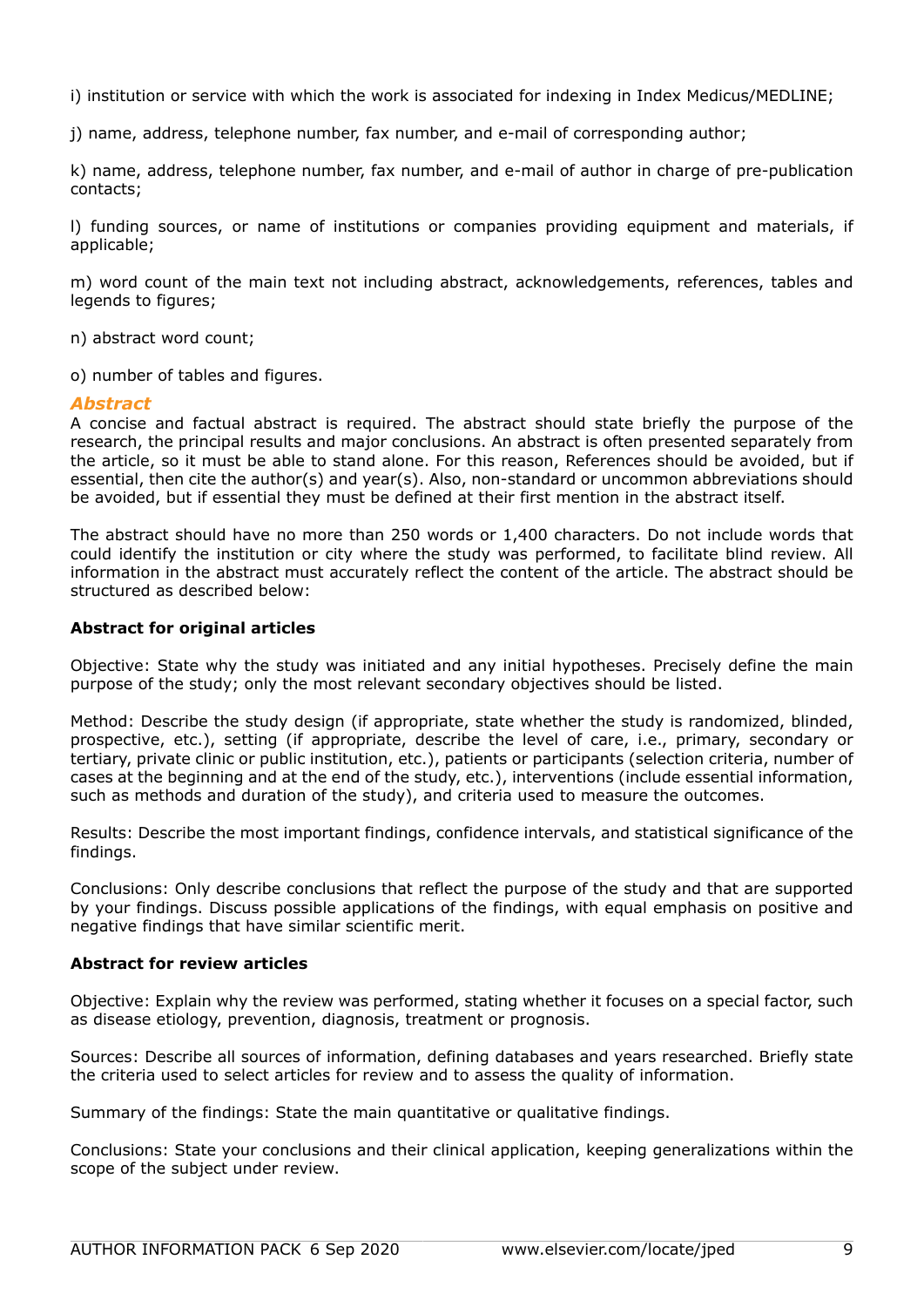i) institution or service with which the work is associated for indexing in Index Medicus/MEDLINE;

j) name, address, telephone number, fax number, and e-mail of corresponding author;

k) name, address, telephone number, fax number, and e-mail of author in charge of pre-publication contacts;

l) funding sources, or name of institutions or companies providing equipment and materials, if applicable;

m) word count of the main text not including abstract, acknowledgements, references, tables and legends to figures;

n) abstract word count;

o) number of tables and figures.

## *Abstract*

A concise and factual abstract is required. The abstract should state briefly the purpose of the research, the principal results and major conclusions. An abstract is often presented separately from the article, so it must be able to stand alone. For this reason, References should be avoided, but if essential, then cite the author(s) and year(s). Also, non-standard or uncommon abbreviations should be avoided, but if essential they must be defined at their first mention in the abstract itself.

The abstract should have no more than 250 words or 1,400 characters. Do not include words that could identify the institution or city where the study was performed, to facilitate blind review. All information in the abstract must accurately reflect the content of the article. The abstract should be structured as described below:

## **Abstract for original articles**

Objective: State why the study was initiated and any initial hypotheses. Precisely define the main purpose of the study; only the most relevant secondary objectives should be listed.

Method: Describe the study design (if appropriate, state whether the study is randomized, blinded, prospective, etc.), setting (if appropriate, describe the level of care, i.e., primary, secondary or tertiary, private clinic or public institution, etc.), patients or participants (selection criteria, number of cases at the beginning and at the end of the study, etc.), interventions (include essential information, such as methods and duration of the study), and criteria used to measure the outcomes.

Results: Describe the most important findings, confidence intervals, and statistical significance of the findings.

Conclusions: Only describe conclusions that reflect the purpose of the study and that are supported by your findings. Discuss possible applications of the findings, with equal emphasis on positive and negative findings that have similar scientific merit.

## **Abstract for review articles**

Objective: Explain why the review was performed, stating whether it focuses on a special factor, such as disease etiology, prevention, diagnosis, treatment or prognosis.

Sources: Describe all sources of information, defining databases and years researched. Briefly state the criteria used to select articles for review and to assess the quality of information.

Summary of the findings: State the main quantitative or qualitative findings.

Conclusions: State your conclusions and their clinical application, keeping generalizations within the scope of the subject under review.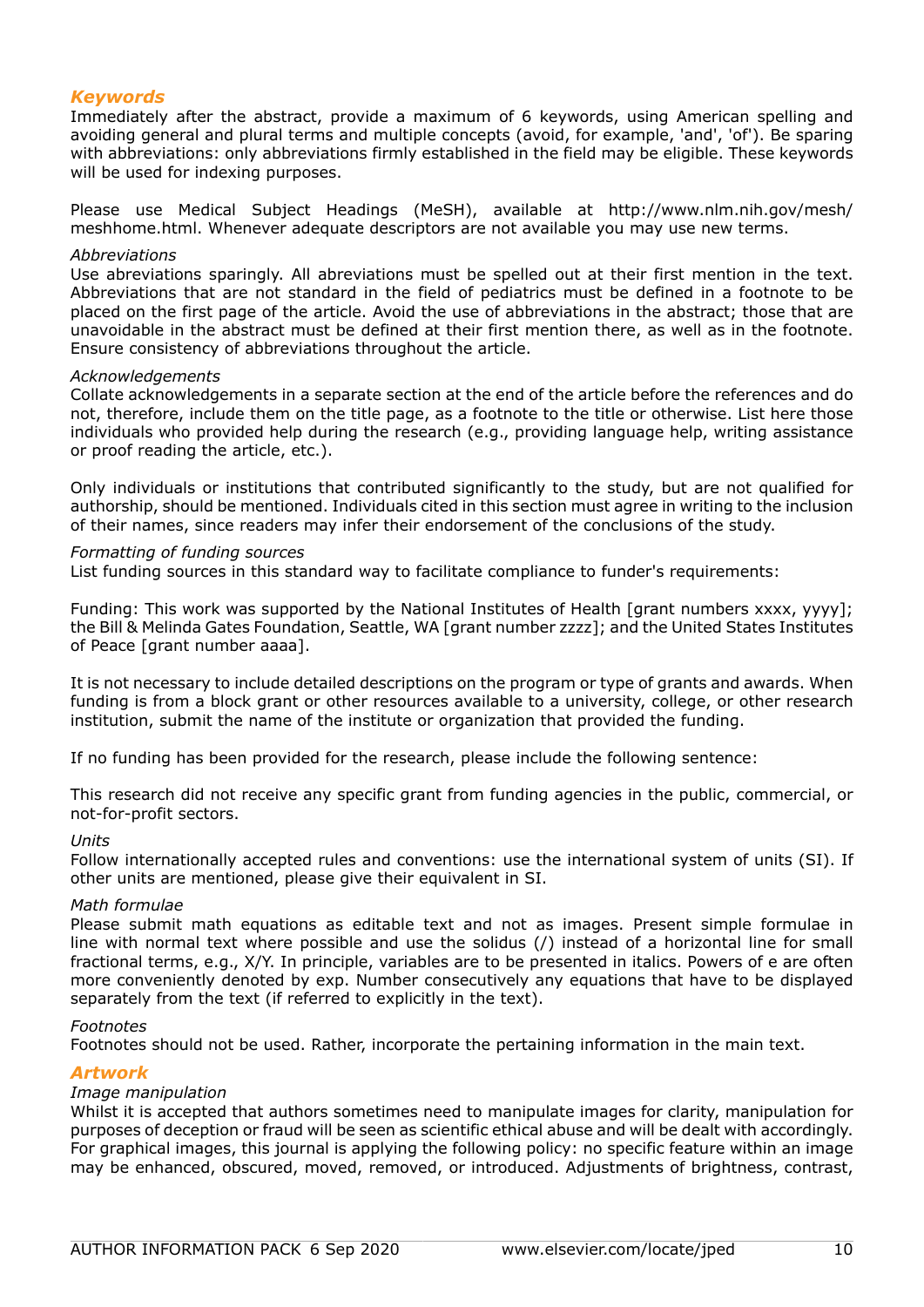## *Keywords*

Immediately after the abstract, provide a maximum of 6 keywords, using American spelling and avoiding general and plural terms and multiple concepts (avoid, for example, 'and', 'of'). Be sparing with abbreviations: only abbreviations firmly established in the field may be eligible. These keywords will be used for indexing purposes.

Please use Medical Subject Headings (MeSH), available at http://www.nlm.nih.gov/mesh/ meshhome.html. Whenever adequate descriptors are not available you may use new terms.

#### *Abbreviations*

Use abreviations sparingly. All abreviations must be spelled out at their first mention in the text. Abbreviations that are not standard in the field of pediatrics must be defined in a footnote to be placed on the first page of the article. Avoid the use of abbreviations in the abstract; those that are unavoidable in the abstract must be defined at their first mention there, as well as in the footnote. Ensure consistency of abbreviations throughout the article.

#### *Acknowledgements*

Collate acknowledgements in a separate section at the end of the article before the references and do not, therefore, include them on the title page, as a footnote to the title or otherwise. List here those individuals who provided help during the research (e.g., providing language help, writing assistance or proof reading the article, etc.).

Only individuals or institutions that contributed significantly to the study, but are not qualified for authorship, should be mentioned. Individuals cited in this section must agree in writing to the inclusion of their names, since readers may infer their endorsement of the conclusions of the study.

#### *Formatting of funding sources*

List funding sources in this standard way to facilitate compliance to funder's requirements:

Funding: This work was supported by the National Institutes of Health [grant numbers xxxx, yyyy]; the Bill & Melinda Gates Foundation, Seattle, WA [grant number zzzz]; and the United States Institutes of Peace [grant number aaaa].

It is not necessary to include detailed descriptions on the program or type of grants and awards. When funding is from a block grant or other resources available to a university, college, or other research institution, submit the name of the institute or organization that provided the funding.

If no funding has been provided for the research, please include the following sentence:

This research did not receive any specific grant from funding agencies in the public, commercial, or not-for-profit sectors.

#### *Units*

Follow internationally accepted rules and conventions: use the international system of units (SI). If other units are mentioned, please give their equivalent in SI.

#### *Math formulae*

Please submit math equations as editable text and not as images. Present simple formulae in line with normal text where possible and use the solidus (/) instead of a horizontal line for small fractional terms, e.g., X/Y. In principle, variables are to be presented in italics. Powers of e are often more conveniently denoted by exp. Number consecutively any equations that have to be displayed separately from the text (if referred to explicitly in the text).

#### *Footnotes*

Footnotes should not be used. Rather, incorporate the pertaining information in the main text.

## *Artwork*

## *Image manipulation*

Whilst it is accepted that authors sometimes need to manipulate images for clarity, manipulation for purposes of deception or fraud will be seen as scientific ethical abuse and will be dealt with accordingly. For graphical images, this journal is applying the following policy: no specific feature within an image may be enhanced, obscured, moved, removed, or introduced. Adjustments of brightness, contrast,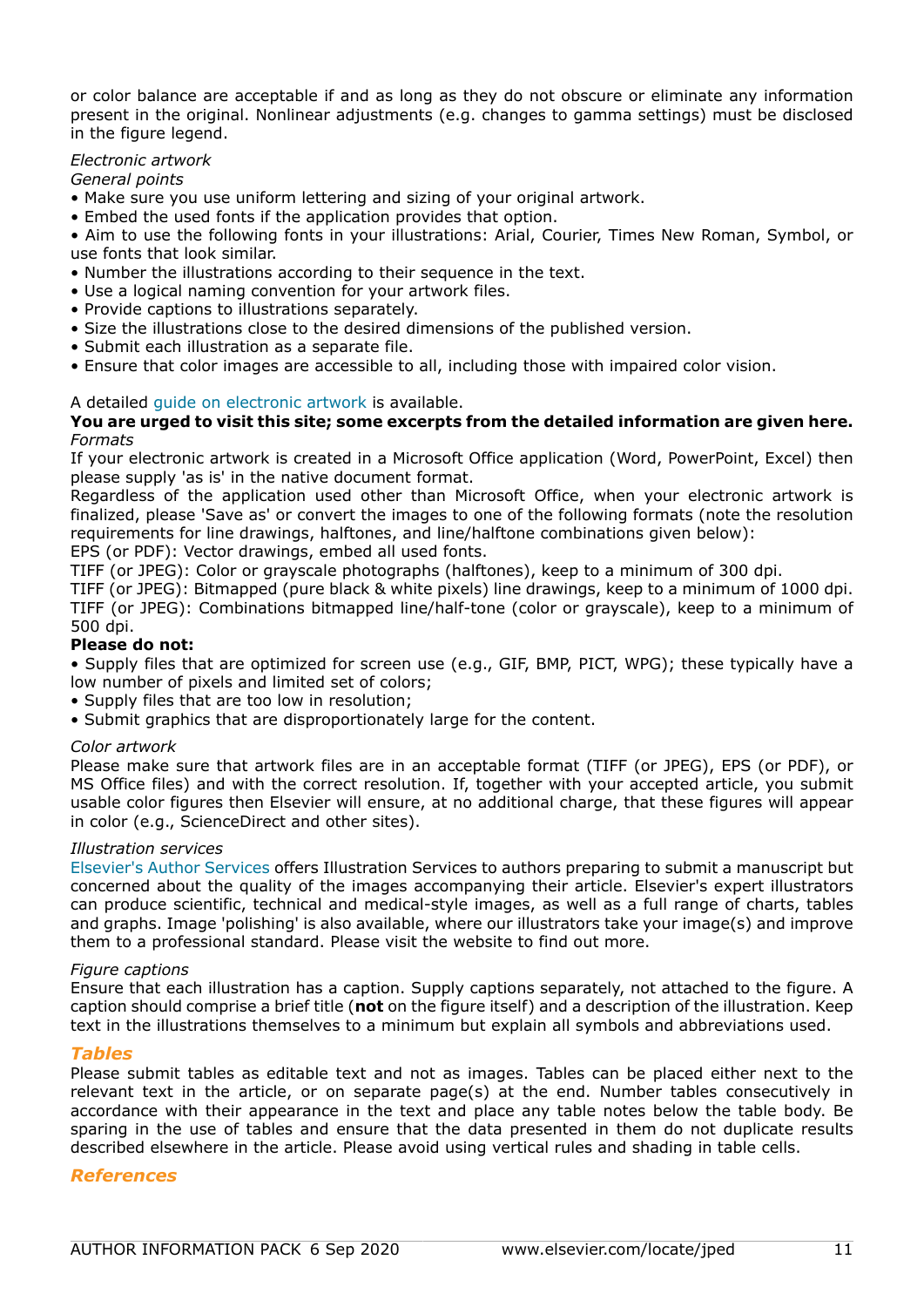or color balance are acceptable if and as long as they do not obscure or eliminate any information present in the original. Nonlinear adjustments (e.g. changes to gamma settings) must be disclosed in the figure legend.

## *Electronic artwork*

*General points*

- Make sure you use uniform lettering and sizing of your original artwork.
- Embed the used fonts if the application provides that option.

• Aim to use the following fonts in your illustrations: Arial, Courier, Times New Roman, Symbol, or use fonts that look similar.

- Number the illustrations according to their sequence in the text.
- Use a logical naming convention for your artwork files.
- Provide captions to illustrations separately.
- Size the illustrations close to the desired dimensions of the published version.
- Submit each illustration as a separate file.
- Ensure that color images are accessible to all, including those with impaired color vision.

## A detailed [guide on electronic artwork](https://www.elsevier.com/authors/author-schemas/artwork-and-media-instructions) is available.

## **You are urged to visit this site; some excerpts from the detailed information are given here.** *Formats*

If your electronic artwork is created in a Microsoft Office application (Word, PowerPoint, Excel) then please supply 'as is' in the native document format.

Regardless of the application used other than Microsoft Office, when your electronic artwork is finalized, please 'Save as' or convert the images to one of the following formats (note the resolution requirements for line drawings, halftones, and line/halftone combinations given below):

EPS (or PDF): Vector drawings, embed all used fonts.

TIFF (or JPEG): Color or grayscale photographs (halftones), keep to a minimum of 300 dpi.

TIFF (or JPEG): Bitmapped (pure black & white pixels) line drawings, keep to a minimum of 1000 dpi. TIFF (or JPEG): Combinations bitmapped line/half-tone (color or grayscale), keep to a minimum of 500 dpi.

## **Please do not:**

• Supply files that are optimized for screen use (e.g., GIF, BMP, PICT, WPG); these typically have a low number of pixels and limited set of colors;

• Supply files that are too low in resolution;

• Submit graphics that are disproportionately large for the content.

## *Color artwork*

Please make sure that artwork files are in an acceptable format (TIFF (or JPEG), EPS (or PDF), or MS Office files) and with the correct resolution. If, together with your accepted article, you submit usable color figures then Elsevier will ensure, at no additional charge, that these figures will appear in color (e.g., ScienceDirect and other sites).

## *Illustration services*

[Elsevier's Author Services](https://webshop.elsevier.com/illustration-services/) offers Illustration Services to authors preparing to submit a manuscript but concerned about the quality of the images accompanying their article. Elsevier's expert illustrators can produce scientific, technical and medical-style images, as well as a full range of charts, tables and graphs. Image 'polishing' is also available, where our illustrators take your image(s) and improve them to a professional standard. Please visit the website to find out more.

## *Figure captions*

Ensure that each illustration has a caption. Supply captions separately, not attached to the figure. A caption should comprise a brief title (**not** on the figure itself) and a description of the illustration. Keep text in the illustrations themselves to a minimum but explain all symbols and abbreviations used.

## *Tables*

Please submit tables as editable text and not as images. Tables can be placed either next to the relevant text in the article, or on separate page(s) at the end. Number tables consecutively in accordance with their appearance in the text and place any table notes below the table body. Be sparing in the use of tables and ensure that the data presented in them do not duplicate results described elsewhere in the article. Please avoid using vertical rules and shading in table cells.

## *References*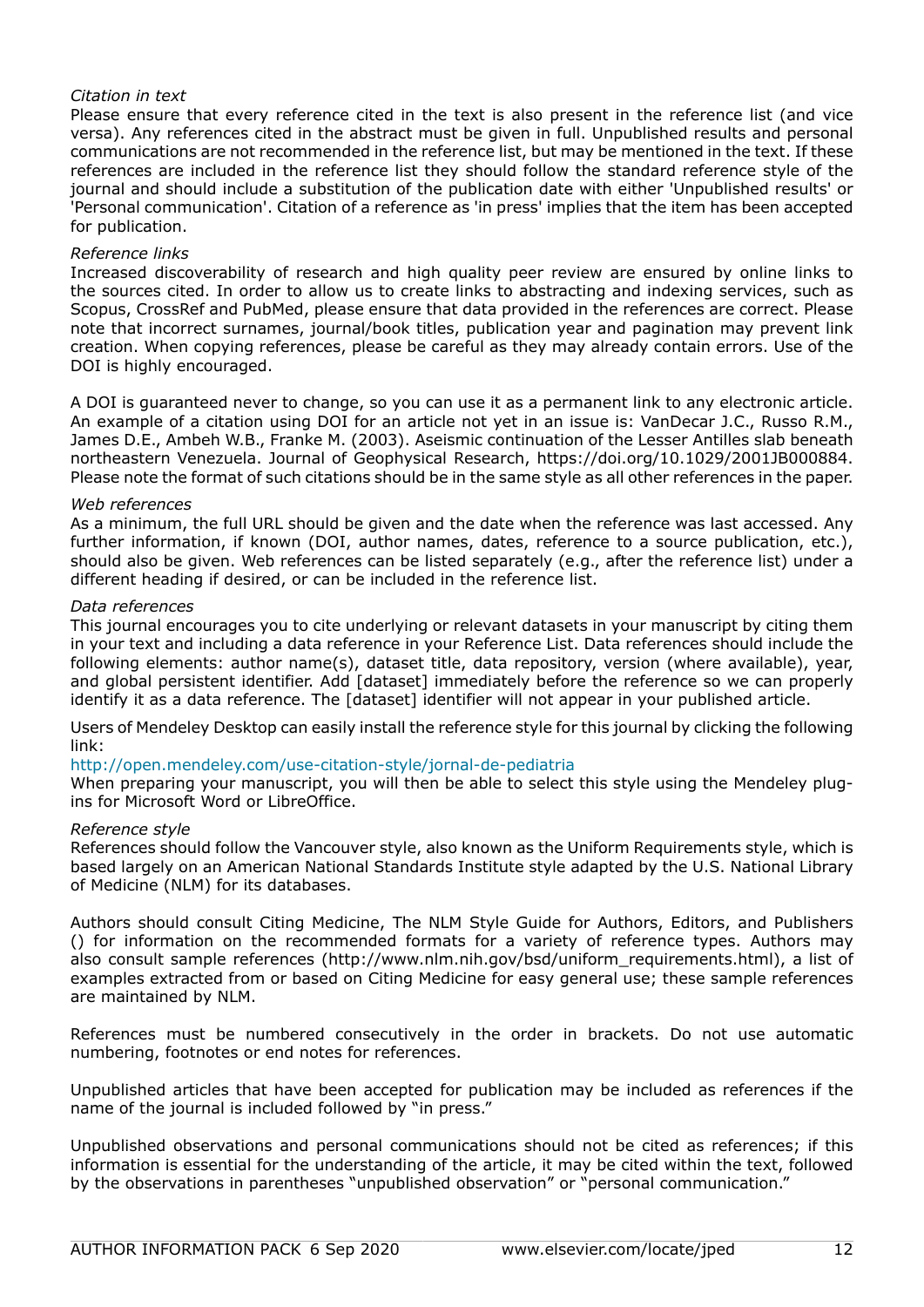## *Citation in text*

Please ensure that every reference cited in the text is also present in the reference list (and vice versa). Any references cited in the abstract must be given in full. Unpublished results and personal communications are not recommended in the reference list, but may be mentioned in the text. If these references are included in the reference list they should follow the standard reference style of the journal and should include a substitution of the publication date with either 'Unpublished results' or 'Personal communication'. Citation of a reference as 'in press' implies that the item has been accepted for publication.

## *Reference links*

Increased discoverability of research and high quality peer review are ensured by online links to the sources cited. In order to allow us to create links to abstracting and indexing services, such as Scopus, CrossRef and PubMed, please ensure that data provided in the references are correct. Please note that incorrect surnames, journal/book titles, publication year and pagination may prevent link creation. When copying references, please be careful as they may already contain errors. Use of the DOI is highly encouraged.

A DOI is guaranteed never to change, so you can use it as a permanent link to any electronic article. An example of a citation using DOI for an article not yet in an issue is: VanDecar J.C., Russo R.M., James D.E., Ambeh W.B., Franke M. (2003). Aseismic continuation of the Lesser Antilles slab beneath northeastern Venezuela. Journal of Geophysical Research, https://doi.org/10.1029/2001JB000884. Please note the format of such citations should be in the same style as all other references in the paper.

## *Web references*

As a minimum, the full URL should be given and the date when the reference was last accessed. Any further information, if known (DOI, author names, dates, reference to a source publication, etc.), should also be given. Web references can be listed separately (e.g., after the reference list) under a different heading if desired, or can be included in the reference list.

## *Data references*

This journal encourages you to cite underlying or relevant datasets in your manuscript by citing them in your text and including a data reference in your Reference List. Data references should include the following elements: author name(s), dataset title, data repository, version (where available), year, and global persistent identifier. Add [dataset] immediately before the reference so we can properly identify it as a data reference. The [dataset] identifier will not appear in your published article.

Users of Mendeley Desktop can easily install the reference style for this journal by clicking the following link:

## http://open.mendeley.com/use-citation-style/jornal-de-pediatria

When preparing your manuscript, you will then be able to select this style using the Mendeley plugins for Microsoft Word or LibreOffice.

## *Reference style*

References should follow the Vancouver style, also known as the Uniform Requirements style, which is based largely on an American National Standards Institute style adapted by the U.S. National Library of Medicine (NLM) for its databases.

Authors should consult Citing Medicine, The NLM Style Guide for Authors, Editors, and Publishers () for information on the recommended formats for a variety of reference types. Authors may also consult sample references (http://www.nlm.nih.gov/bsd/uniform\_requirements.html), a list of examples extracted from or based on Citing Medicine for easy general use; these sample references are maintained by NLM.

References must be numbered consecutively in the order in brackets. Do not use automatic numbering, footnotes or end notes for references.

Unpublished articles that have been accepted for publication may be included as references if the name of the journal is included followed by "in press."

Unpublished observations and personal communications should not be cited as references; if this information is essential for the understanding of the article, it may be cited within the text, followed by the observations in parentheses "unpublished observation" or "personal communication."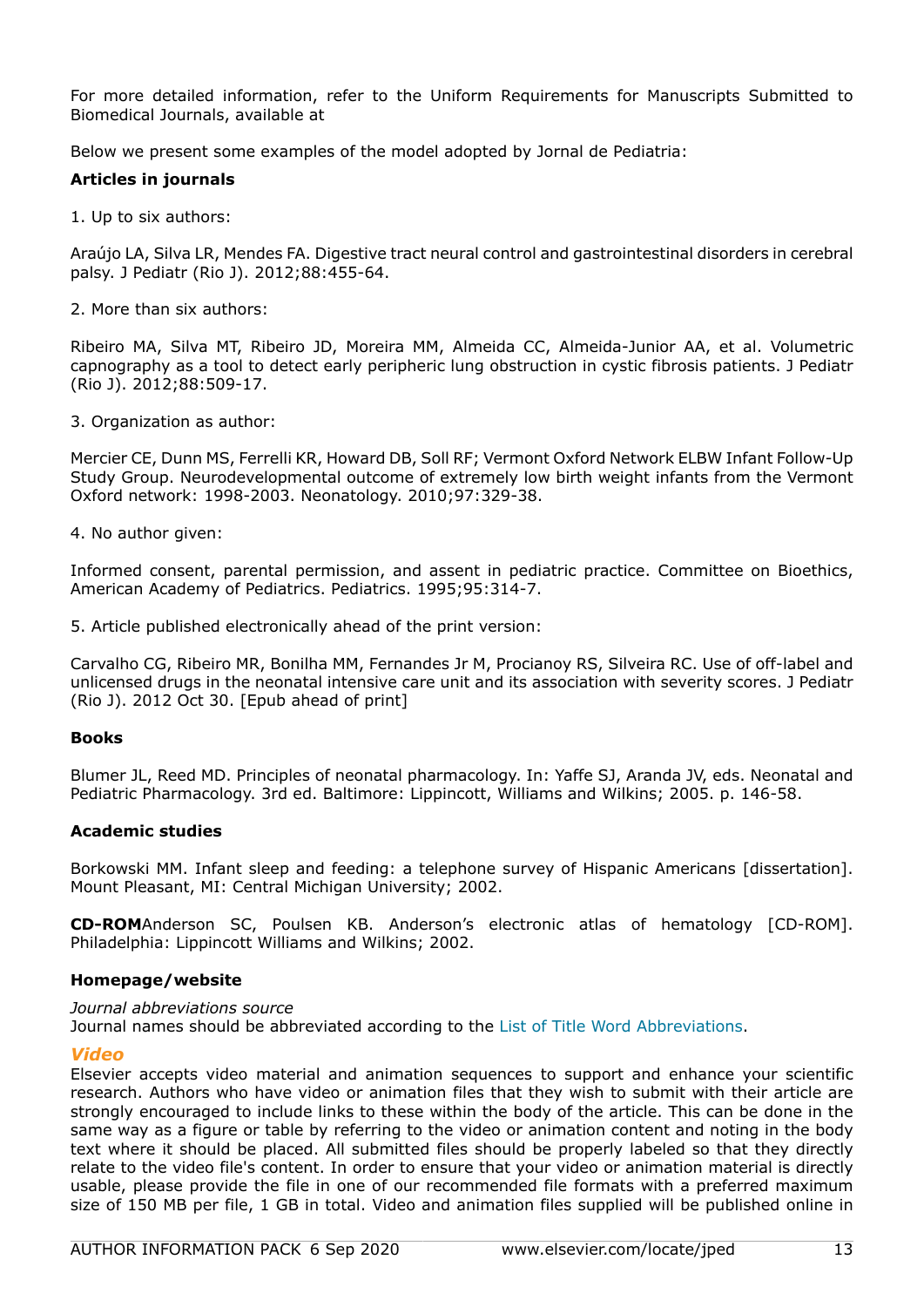For more detailed information, refer to the Uniform Requirements for Manuscripts Submitted to Biomedical Journals, available at

Below we present some examples of the model adopted by Jornal de Pediatria:

## **Articles in journals**

1. Up to six authors:

Araújo LA, Silva LR, Mendes FA. Digestive tract neural control and gastrointestinal disorders in cerebral palsy. J Pediatr (Rio J). 2012;88:455-64.

2. More than six authors:

Ribeiro MA, Silva MT, Ribeiro JD, Moreira MM, Almeida CC, Almeida-Junior AA, et al. Volumetric capnography as a tool to detect early peripheric lung obstruction in cystic fibrosis patients. J Pediatr (Rio J). 2012;88:509-17.

3. Organization as author:

Mercier CE, Dunn MS, Ferrelli KR, Howard DB, Soll RF; Vermont Oxford Network ELBW Infant Follow-Up Study Group. Neurodevelopmental outcome of extremely low birth weight infants from the Vermont Oxford network: 1998-2003. Neonatology. 2010;97:329-38.

4. No author given:

Informed consent, parental permission, and assent in pediatric practice. Committee on Bioethics, American Academy of Pediatrics. Pediatrics. 1995;95:314-7.

5. Article published electronically ahead of the print version:

Carvalho CG, Ribeiro MR, Bonilha MM, Fernandes Jr M, Procianoy RS, Silveira RC. Use of off-label and unlicensed drugs in the neonatal intensive care unit and its association with severity scores. J Pediatr (Rio J). 2012 Oct 30. [Epub ahead of print]

## **Books**

Blumer JL, Reed MD. Principles of neonatal pharmacology. In: Yaffe SJ, Aranda JV, eds. Neonatal and Pediatric Pharmacology. 3rd ed. Baltimore: Lippincott, Williams and Wilkins; 2005. p. 146-58.

## **Academic studies**

Borkowski MM. Infant sleep and feeding: a telephone survey of Hispanic Americans [dissertation]. Mount Pleasant, MI: Central Michigan University; 2002.

**CD-ROM**Anderson SC, Poulsen KB. Anderson's electronic atlas of hematology [CD-ROM]. Philadelphia: Lippincott Williams and Wilkins; 2002.

## **Homepage/website**

*Journal abbreviations source* Journal names should be abbreviated according to the [List of Title Word Abbreviations.](https://www.issn.org/services/online-services/access-to-the-ltwa/)

## *Video*

Elsevier accepts video material and animation sequences to support and enhance your scientific research. Authors who have video or animation files that they wish to submit with their article are strongly encouraged to include links to these within the body of the article. This can be done in the same way as a figure or table by referring to the video or animation content and noting in the body text where it should be placed. All submitted files should be properly labeled so that they directly relate to the video file's content. In order to ensure that your video or animation material is directly usable, please provide the file in one of our recommended file formats with a preferred maximum size of 150 MB per file, 1 GB in total. Video and animation files supplied will be published online in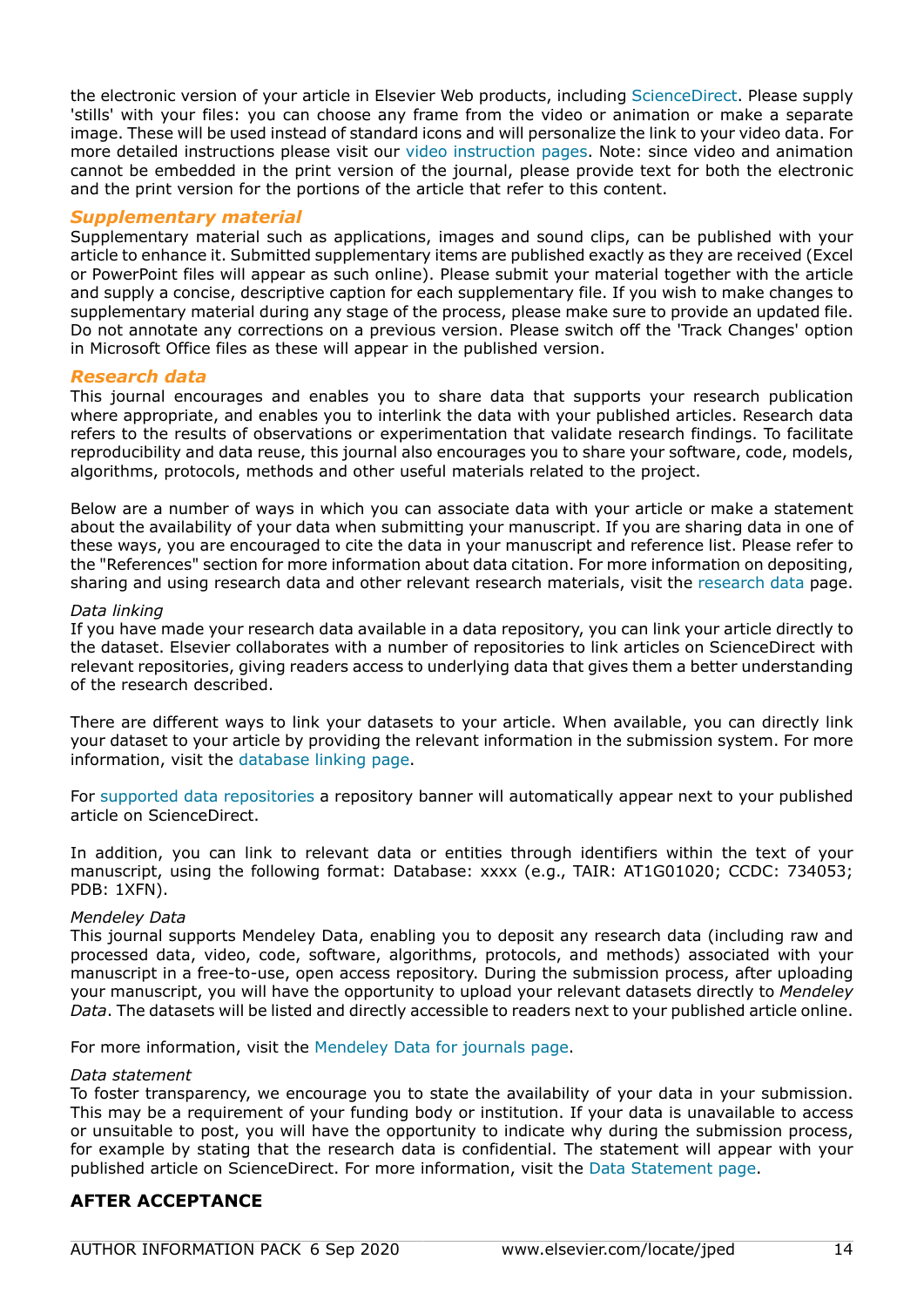the electronic version of your article in Elsevier Web products, including [ScienceDirect](https://www.sciencedirect.com). Please supply 'stills' with your files: you can choose any frame from the video or animation or make a separate image. These will be used instead of standard icons and will personalize the link to your video data. For more detailed instructions please visit our [video instruction pages.](https://www.elsevier.com/authors/author-schemas/artwork-and-media-instructions) Note: since video and animation cannot be embedded in the print version of the journal, please provide text for both the electronic and the print version for the portions of the article that refer to this content.

## *Supplementary material*

Supplementary material such as applications, images and sound clips, can be published with your article to enhance it. Submitted supplementary items are published exactly as they are received (Excel or PowerPoint files will appear as such online). Please submit your material together with the article and supply a concise, descriptive caption for each supplementary file. If you wish to make changes to supplementary material during any stage of the process, please make sure to provide an updated file. Do not annotate any corrections on a previous version. Please switch off the 'Track Changes' option in Microsoft Office files as these will appear in the published version.

## *Research data*

This journal encourages and enables you to share data that supports your research publication where appropriate, and enables you to interlink the data with your published articles. Research data refers to the results of observations or experimentation that validate research findings. To facilitate reproducibility and data reuse, this journal also encourages you to share your software, code, models, algorithms, protocols, methods and other useful materials related to the project.

Below are a number of ways in which you can associate data with your article or make a statement about the availability of your data when submitting your manuscript. If you are sharing data in one of these ways, you are encouraged to cite the data in your manuscript and reference list. Please refer to the "References" section for more information about data citation. For more information on depositing, sharing and using research data and other relevant research materials, visit the [research data](https://www.elsevier.com/authors/author-resources/research-data) page.

#### *Data linking*

If you have made your research data available in a data repository, you can link your article directly to the dataset. Elsevier collaborates with a number of repositories to link articles on ScienceDirect with relevant repositories, giving readers access to underlying data that gives them a better understanding of the research described.

There are different ways to link your datasets to your article. When available, you can directly link your dataset to your article by providing the relevant information in the submission system. For more information, visit the [database linking page.](https://www.elsevier.com/authors/author-resources/research-data/data-base-linking)

For [supported data repositories](https://www.elsevier.com/authors/author-resources/research-data/data-base-linking#repositories) a repository banner will automatically appear next to your published article on ScienceDirect.

In addition, you can link to relevant data or entities through identifiers within the text of your manuscript, using the following format: Database: xxxx (e.g., TAIR: AT1G01020; CCDC: 734053; PDB: 1XFN).

## *Mendeley Data*

This journal supports Mendeley Data, enabling you to deposit any research data (including raw and processed data, video, code, software, algorithms, protocols, and methods) associated with your manuscript in a free-to-use, open access repository. During the submission process, after uploading your manuscript, you will have the opportunity to upload your relevant datasets directly to *Mendeley Data*. The datasets will be listed and directly accessible to readers next to your published article online.

For more information, visit the [Mendeley Data for journals page](https://www.elsevier.com/books-and-journals/enrichments/mendeley-data-for-journals).

#### *Data statement*

To foster transparency, we encourage you to state the availability of your data in your submission. This may be a requirement of your funding body or institution. If your data is unavailable to access or unsuitable to post, you will have the opportunity to indicate why during the submission process, for example by stating that the research data is confidential. The statement will appear with your published article on ScienceDirect. For more information, visit the [Data Statement page](https://www.elsevier.com/authors/author-resources/research-data/data-statement).

# **AFTER ACCEPTANCE**